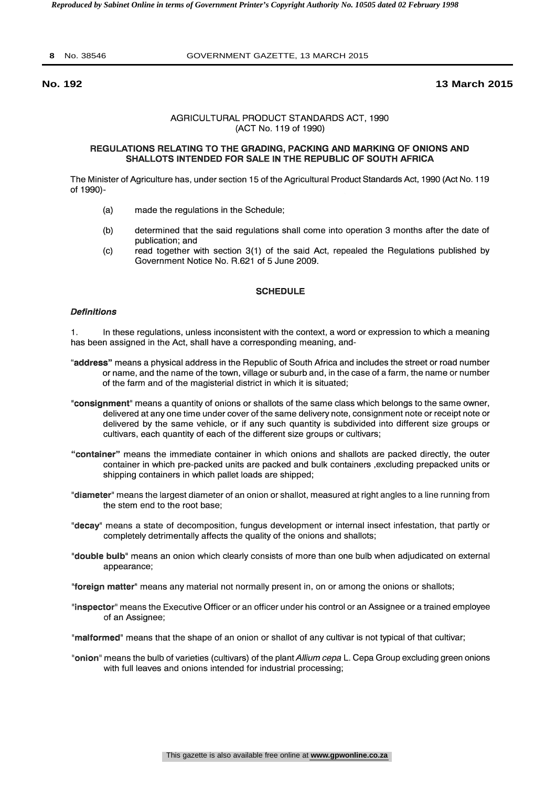#### **8** No. 38546 GOVERNMENT GAZETTE, 13 MARCH 2015

#### **No. 192 13 March 2015**

#### AGRICULTURAL PRODUCT STANDARDS ACT, 1990 (ACT No. 119 of 1990)

#### REGULATIONS RELATING TO THE GRADING, PACKING AND MARKING OF ONIONS AND SHALLOTS INTENDED FOR SALE IN THE REPUBLIC OF SOUTH AFRICA

The Minister of Agriculture has, under section 15 of the Agricultural Product Standards Act, 1990 (Act No. 119 of 1990) -

- (a) made the regulations in the Schedule;
- (b) determined that the said regulations shall come into operation 3 months after the date of publication; and
- (c) read together with section 3(1) of the said Act, repealed the Regulations published by Government Notice No. R.621 of 5 June 2009.

### **SCHEDULE**

#### **Definitions**

1. In these regulations, unless inconsistent with the context, a word or expression to which a meaning has been assigned in the Act, shall have a corresponding meaning, and-

- "address" means a physical address in the Republic of South Africa and includes the street or road number or name, and the name of the town, village or suburb and, in the case of a farm, the name or number of the farm and of the magisterial district in which it is situated;
- "consignment" means a quantity of onions or shallots of the same class which belongs to the same owner, delivered at any one time under cover of the same delivery note, consignment note or receipt note or delivered by the same vehicle, or if any such quantity is subdivided into different size groups or cultivars, each quantity of each of the different size groups or cultivars;
- "container" means the immediate container in which onions and shallots are packed directly, the outer container in which pre-packed units are packed and bulk containers ,excluding prepacked units or shipping containers in which pallet loads are shipped;
- "diameter" means the largest diameter of an onion or shallot, measured at right angles to a line running from the stem end to the root base;
- "decay" means a state of decomposition, fungus development or internal insect infestation, that partly or completely detrimentally affects the quality of the onions and shallots;
- "double bulb" means an onion which clearly consists of more than one bulb when adjudicated on external appearance;
- "foreign matter" means any material not normally present in, on or among the onions or shallots;
- "inspector" means the Executive Officer or an officer under his control or an Assignee or a trained employee of an Assignee;
- "malformed" means that the shape of an onion or shallot of any cultivar is not typical of that cultivar;
- "onion" means the bulb of varieties (cultivars) of the plant Allium cepa L. Cepa Group excluding green onions with full leaves and onions intended for industrial processing;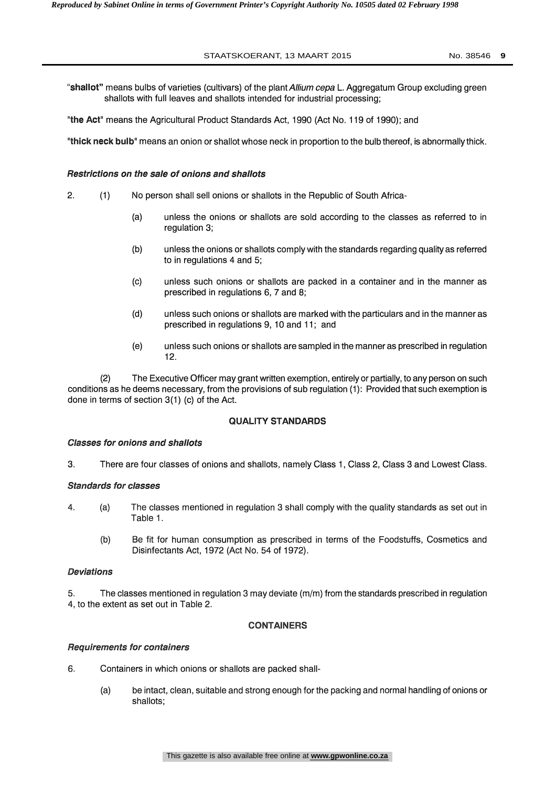### STAATSKOERANT, 13 MAART 2015 No. 38546 **9**

"shallot" means bulbs of varieties (cultivars) of the plant Allium cepa L. Aggregatum Group excluding green shallots with full leaves and shallots intended for industrial processing;

the Act" means the Agricultural Product Standards Act, 1990 (Act No. 119 of 1990); and

"thick neck bulb" means an onion or shallot whose neck in proportion to the bulb thereof, is abnormally thick.

## Restrictions on the sale of onions and shallots

- 2. (1) No person shall sell onions or shallots in the Republic of South Africa-
	- (a) unless the onions or shallots are sold according to the classes as referred to in regulation 3;
	- (b) unless the onions or shallots comply with the standards regarding quality as referred to in regulations 4 and 5;
	- (c) unless such onions or shallots are packed in a container and in the manner as prescribed in regulations 6, 7 and 8;
	- (d) unless such onions or shallots are marked with the particulars and in the manner as prescribed in regulations 9, 10 and 11; and
	- (e) unless such onions or shallots are sampled in the manner as prescribed in regulation 12.

(2) The Executive Officer may grant written exemption, entirely or partially, to any person on such conditions as he deems necessary, from the provisions of sub regulation (1): Provided that such exemption is done in terms of section 3(1) (c) of the Act.

### QUALITY STANDARDS

### Classes for onions and shallots

3. There are four classes of onions and shallots, namely Class 1, Class 2, Class 3 and Lowest Class.

### Standards for classes

- 4. (a) The classes mentioned in regulation 3 shall comply with the quality standards as set out in Table 1.
	- (b) Be fit for human consumption as prescribed in terms of the Foodstuffs, Cosmetics and Disinfectants Act, 1972 (Act No. 54 of 1972).

## Deviations

5. The classes mentioned in regulation 3 may deviate (m/m) from the standards prescribed in regulation 4, to the extent as set out in Table 2.

### CONTAINERS

### Requirements for containers

- 6. Containers in which onions or shallots are packed shall-
	- (a) be intact, clean, suitable and strong enough for the packing and normal handling of onions or shallots;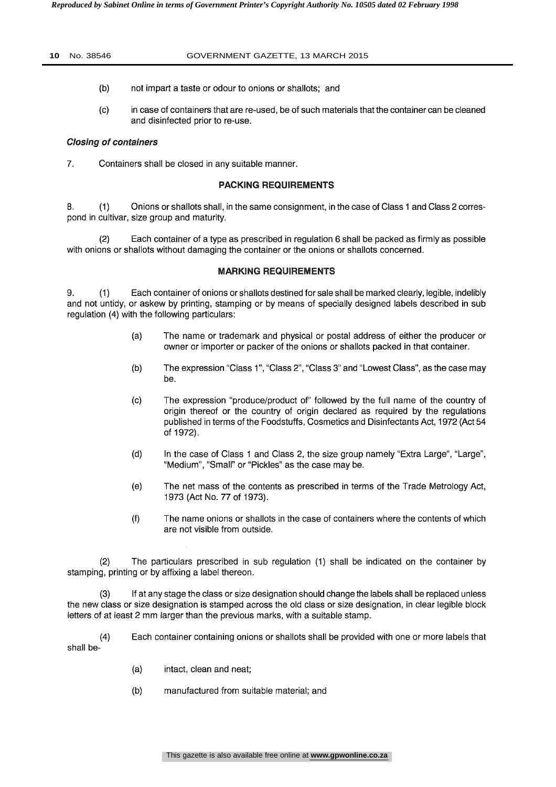- (b) not impart a taste or odour to onions or shallots; and
- (c) in case of containers that are re-used, be of such materials that the container can be cleaned and disinfected prior to re-use.

## Closing of containers

7. Containers shall be closed in any suitable manner.

## PACKING REQUIREMENTS

8. (1) Onions or shallots shall, in the same consignment, in the case of Class 1 and Class 2 correspond in cultivar, size group and maturity.

 $(2)$  Each container of a type as prescribed in regulation 6 shall be packed as firmly as possible with onions or shallots without damaging the container or the onions or shallots concerned.

## MARKING REQUIREMENTS

9. (1) Each container of onions or shallots destined for sale shall be marked clearly, legible, indelibly and not untidy, or askew by printing, stamping or by means of specially designed labels described in sub regulation (4) with the following particulars:

- (a) The name or trademark and physical or postal address of either the producer or owner or importer or packer of the onions or shallots packed in that container.
- (b) The expression "Class 1", "Class 2", "Class 3" and "Lowest Class", as the case may be.
- (c) The expression "produce/product of" followed by the full name of the country of origin thereof or the country of origin declared as required by the regulations published in terms of the Foodstuffs, Cosmetics and Disinfectants Act, 1972 (Act 54 of 1972).
- (d) In the case of Class 1 and Class 2, the size group namely "Extra Large", "Large", "Medium", "Small" or "Pickles" as the case may be.
- (e) The net mass of the contents as prescribed in terms of the Trade Metrology Act, 1973 (Act No. 77 of 1973).
- (f) The name onions or shallots in the case of containers where the contents of which are not visible from outside.

(2) The particulars prescribed in sub regulation (1) shall be indicated on the container by stamping, printing or by affixing a label thereon.

(3) If at any stage the class or size designation should change the labels shall be replaced unless the new class or size designation is stamped across the old class or size designation, in clear legible block letters of at least 2 mm larger than the previous marks, with a suitable stamp.

(4) Each container containing onions or shallots shall be provided with one or more labels that shall be-

- (a) intact, clean and neat;
- (b) manufactured from suitable material; and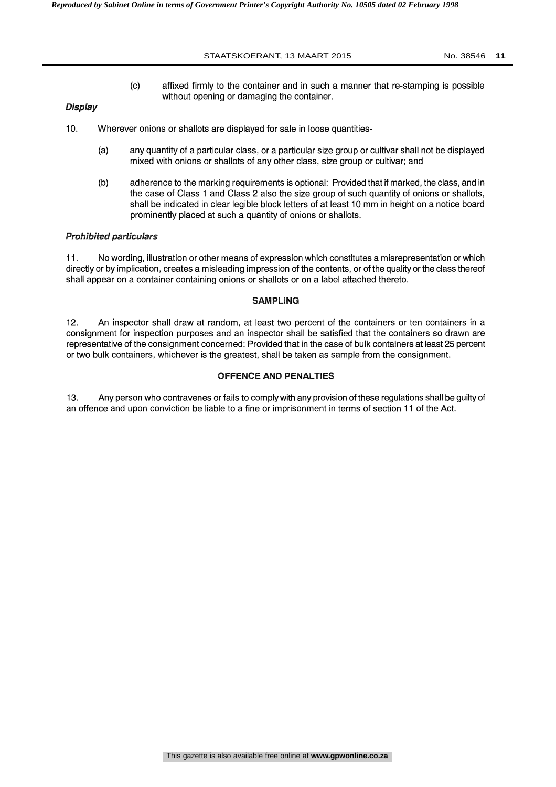- 
- (c) affixed firmly to the container and in such a manner that re-stamping is possible without opening or damaging the container.

# **Display**

- 10. Wherever onions or shallots are displayed for sale in loose quantities-
	- (a) any quantity of a particular class, or a particular size group or cultivar shall not be displayed mixed with onions or shallots of any other class, size group or cultivar; and
	- (b) adherence to the marking requirements is optional: Provided that if marked, the class, and in the case of Class 1 and Class 2 also the size group of such quantity of onions or shallots, shall be indicated in clear legible block letters of at least 10 mm in height on a notice board prominently placed at such a quantity of onions or shallots.

### Prohibited particulars

11. No wording, illustration or other means of expression which constitutes a misrepresentation or which directly or by implication, creates a misleading impression of the contents, or of the quality or the class thereof shall appear on a container containing onions or shallots or on a label attached thereto.

### SAMPLING

12. An inspector shall draw at random, at least two percent of the containers or ten containers in a consignment for inspection purposes and an inspector shall be satisfied that the containers so drawn are representative of the consignment concerned: Provided that in the case of bulk containers at least 25 percent or two bulk containers, whichever is the greatest, shall be taken as sample from the consignment.

# OFFENCE AND PENALTIES

13. Any person who contravenes or fails to comply with any provision of these regulations shall be guilty of an offence and upon conviction be liable to a fine or imprisonment in terms of section 11 of the Act.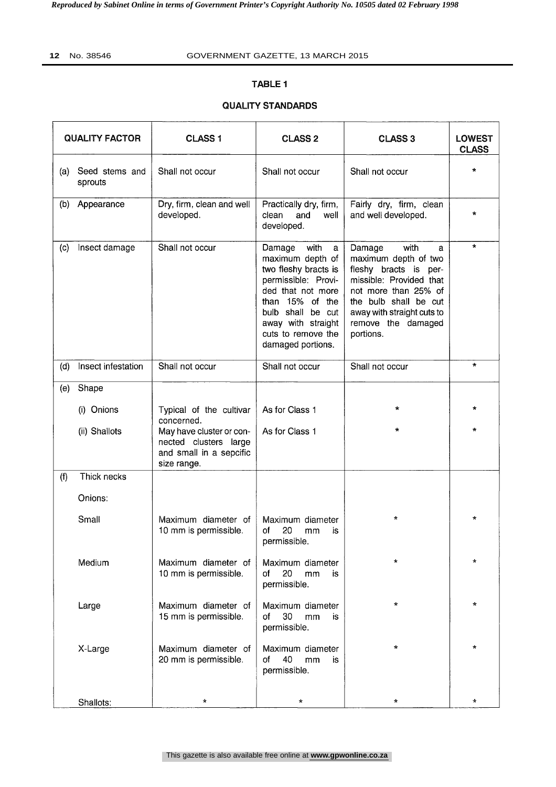# TABLE 1

# QUALITY STANDARDS

| <b>QUALITY FACTOR</b> |                           | <b>CLASS1</b>                                                                               | <b>CLASS 2</b>                                                                                                                                                                                                       | <b>CLASS 3</b><br><b>LOWEST</b><br><b>CLASS</b>                                                                                                                                                                   |         |
|-----------------------|---------------------------|---------------------------------------------------------------------------------------------|----------------------------------------------------------------------------------------------------------------------------------------------------------------------------------------------------------------------|-------------------------------------------------------------------------------------------------------------------------------------------------------------------------------------------------------------------|---------|
| (a)                   | Seed stems and<br>sprouts | Shall not occur                                                                             | Shall not occur                                                                                                                                                                                                      | Shall not occur                                                                                                                                                                                                   | $\star$ |
| (b)                   | Appearance                | Dry, firm, clean and well<br>developed.                                                     | Practically dry, firm,<br>clean<br>and<br>well<br>developed.                                                                                                                                                         | Fairly dry, firm, clean<br>and well developed.                                                                                                                                                                    | $\star$ |
| (c)                   | Insect damage             | Shall not occur                                                                             | Damage<br>with<br>a<br>maximum depth of<br>two fleshy bracts is<br>permissible: Provi-<br>ded that not more<br>than 15% of the<br>bulb shall be cut<br>away with straight<br>cuts to remove the<br>damaged portions. | with<br>Damage<br>a<br>maximum depth of two<br>fleshy bracts is per-<br>missible: Provided that<br>not more than 25% of<br>the bulb shall be cut<br>away with straight cuts to<br>remove the damaged<br>portions. | $\star$ |
| (d)                   | Insect infestation        | Shall not occur                                                                             | Shall not occur                                                                                                                                                                                                      | Shall not occur                                                                                                                                                                                                   | $\star$ |
| (e)                   | Shape                     |                                                                                             |                                                                                                                                                                                                                      |                                                                                                                                                                                                                   |         |
|                       | (i) Onions                | Typical of the cultivar<br>concerned.                                                       | As for Class 1                                                                                                                                                                                                       | $\star$                                                                                                                                                                                                           | *       |
|                       | (ii) Shallots             | May have cluster or con-<br>nected clusters large<br>and small in a sepcific<br>size range. | As for Class 1                                                                                                                                                                                                       | $\star$                                                                                                                                                                                                           | $\star$ |
| (f)                   | Thick necks               |                                                                                             |                                                                                                                                                                                                                      |                                                                                                                                                                                                                   |         |
|                       | Onions:                   |                                                                                             |                                                                                                                                                                                                                      |                                                                                                                                                                                                                   |         |
|                       | Small                     | Maximum diameter of<br>10 mm is permissible.                                                | Maximum diameter<br>20<br>οf<br>mm<br>is<br>permissible.                                                                                                                                                             | $\star$                                                                                                                                                                                                           | $\star$ |
|                       | Medium                    | Maximum diameter of<br>10 mm is permissible.                                                | Maximum diameter<br>20<br>mm<br>of<br>is<br>permissible.                                                                                                                                                             | $\star$                                                                                                                                                                                                           | *       |
|                       | Large                     | Maximum diameter of<br>15 mm is permissible.                                                | Maximum diameter<br>30<br>of<br>mm<br>is<br>permissible.                                                                                                                                                             | $\star$                                                                                                                                                                                                           | $\star$ |
|                       | X-Large                   | Maximum diameter of<br>20 mm is permissible.                                                | Maximum diameter<br>40<br>of<br>mm<br>is<br>permissible.                                                                                                                                                             | $\star$                                                                                                                                                                                                           | $\star$ |
|                       | Shallots:                 | $\star$                                                                                     | $\star$                                                                                                                                                                                                              | $\star$                                                                                                                                                                                                           | $\star$ |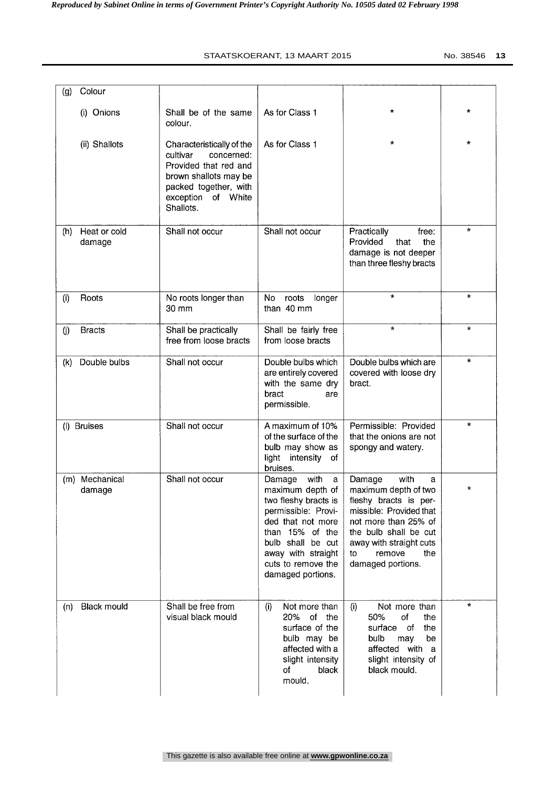| Colour<br>(g)                 |                                                                                                                                                                   |                                                                                                                                                                                                                      |                                                                                                                                                                                                                         |              |
|-------------------------------|-------------------------------------------------------------------------------------------------------------------------------------------------------------------|----------------------------------------------------------------------------------------------------------------------------------------------------------------------------------------------------------------------|-------------------------------------------------------------------------------------------------------------------------------------------------------------------------------------------------------------------------|--------------|
| (i) Onions                    | Shall be of the same<br>colour.                                                                                                                                   | As for Class 1                                                                                                                                                                                                       | $\star$                                                                                                                                                                                                                 | $\star$      |
| (ii) Shallots                 | Characteristically of the<br>cultivar<br>concerned:<br>Provided that red and<br>brown shallots may be<br>packed together, with<br>exception of White<br>Shallots. | As for Class 1                                                                                                                                                                                                       | $\star$                                                                                                                                                                                                                 | $\star$      |
| (h)<br>Heat or cold<br>damage | Shall not occur                                                                                                                                                   | Shall not occur                                                                                                                                                                                                      | Practically<br>free:<br>Provided<br>that<br>the<br>damage is not deeper<br>than three fleshy bracts                                                                                                                     | $\star$      |
| Roots<br>(i)                  | No roots longer than<br>30 mm                                                                                                                                     | No<br>roots<br>longer<br>than 40 mm                                                                                                                                                                                  | $\star$                                                                                                                                                                                                                 | $\mathbf{R}$ |
| (i)<br><b>Bracts</b>          | Shall be practically<br>free from loose bracts                                                                                                                    | Shall be fairly free<br>from loose bracts                                                                                                                                                                            | $\star$                                                                                                                                                                                                                 | $\star$      |
| Double bulbs<br>(k)           | Shall not occur                                                                                                                                                   | Double bulbs which<br>are entirely covered<br>with the same dry<br>bract<br>are<br>permissible.                                                                                                                      | Double bulbs which are<br>covered with loose dry<br>bract.                                                                                                                                                              | $\star$      |
| <b>Bruises</b><br>(1)         | Shall not occur                                                                                                                                                   | A maximum of 10%<br>of the surface of the<br>bulb may show as<br>light intensity<br>οf<br>bruises.                                                                                                                   | Permissible: Provided<br>that the onions are not<br>spongy and watery.                                                                                                                                                  | $\star$      |
| Mechanical<br>(m)<br>damage   | Shall not occur                                                                                                                                                   | with<br>Damage<br>a<br>maximum depth of<br>two fleshy bracts is<br>permissible: Provi-<br>ded that not more<br>than 15% of the<br>bulb shall be cut<br>away with straight<br>cuts to remove the<br>damaged portions. | Damage<br>with<br>a<br>maximum depth of two<br>fleshy bracts is per-<br>missible: Provided that<br>not more than 25% of<br>the bulb shall be cut<br>away with straight cuts<br>remove<br>the<br>to<br>damaged portions. | $\star$      |
| <b>Black mould</b><br>(n)     | Shall be free from<br>visual black mould                                                                                                                          | Not more than<br>(i)<br>20% of the<br>surface of the<br>bulb may be<br>affected with a<br>slight intensity<br>of<br>black<br>mould.                                                                                  | Not more than<br>(i)<br>50%<br>of<br>the<br>of<br>surface<br>the<br>bulb<br>be<br>may<br>affected with<br>a<br>slight intensity of<br>black mould.                                                                      | $\star$      |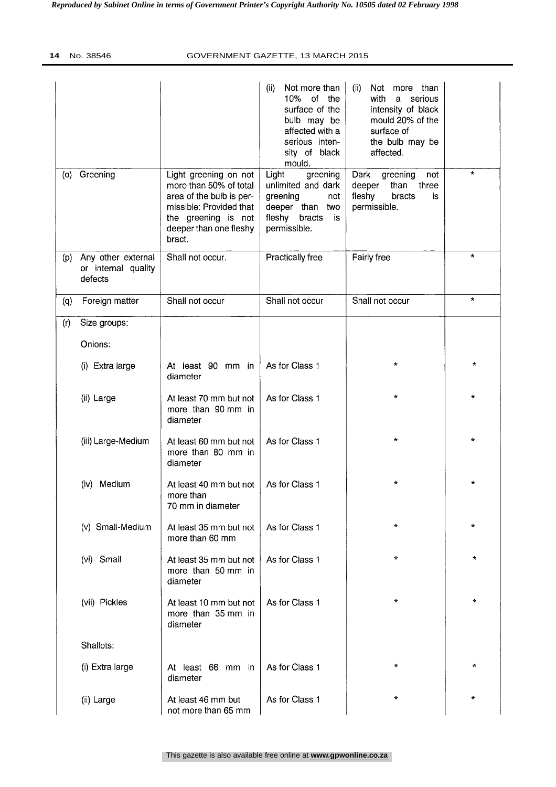|     |                                                      |                                                                                                                                                                   | (ii)<br>Not more than<br>10%<br>of the<br>surface of the<br>bulb may be<br>affected with a<br>serious inten-<br>sity of black<br>mould. | (ii)<br>Not more than<br>with<br>serious<br>$\mathbf{a}$<br>intensity of black<br>mould 20% of the<br>surface of<br>the bulb may be<br>affected. |              |
|-----|------------------------------------------------------|-------------------------------------------------------------------------------------------------------------------------------------------------------------------|-----------------------------------------------------------------------------------------------------------------------------------------|--------------------------------------------------------------------------------------------------------------------------------------------------|--------------|
| (o) | Greening                                             | Light greening on not<br>more than 50% of total<br>area of the bulb is per-<br>missible: Provided that<br>the greening is not<br>deeper than one fleshy<br>bract. | Light<br>greening<br>unlimited and dark<br>greening<br>not<br>deeper than two<br>fleshy<br>bracts<br>is<br>permissible.                 | Dark<br>greening<br>not<br>deeper<br>than three<br>fleshy<br>bracts<br>is<br>permissible.                                                        | $\star$      |
| (p) | Any other external<br>or internal quality<br>defects | Shall not occur.                                                                                                                                                  | Practically free                                                                                                                        | Fairly free                                                                                                                                      | $\star$      |
| (q) | Foreign matter                                       | Shall not occur                                                                                                                                                   | Shall not occur                                                                                                                         | Shall not occur                                                                                                                                  | $\star$      |
| (r) | Size groups:                                         |                                                                                                                                                                   |                                                                                                                                         |                                                                                                                                                  |              |
|     | Onions:                                              |                                                                                                                                                                   |                                                                                                                                         |                                                                                                                                                  |              |
|     | (i) Extra large                                      | At least 90 mm in<br>diameter                                                                                                                                     | As for Class 1                                                                                                                          | *                                                                                                                                                | $^\star$     |
|     | (ii) Large                                           | At least 70 mm but not<br>more than 90 mm in<br>diameter                                                                                                          | As for Class 1                                                                                                                          | $\star$                                                                                                                                          | $\mathbf{x}$ |
|     | (iii) Large-Medium                                   | At least 60 mm but not<br>more than 80 mm in<br>diameter                                                                                                          | As for Class 1                                                                                                                          | $\mathbf{r}$                                                                                                                                     | ÷.           |
|     | (iv) Medium                                          | At least 40 mm but not<br>more than<br>70 mm in diameter                                                                                                          | As for Class 1                                                                                                                          | $\star$                                                                                                                                          | $\star$      |
|     | (v) Small-Medium                                     | At least 35 mm but not<br>more than 60 mm                                                                                                                         | As for Class 1                                                                                                                          | $\star$                                                                                                                                          | $\star$      |
|     | (vi) Small                                           | At least 35 mm but not<br>more than 50 mm in<br>diameter                                                                                                          | As for Class 1                                                                                                                          | $\star$                                                                                                                                          | $\star$      |
|     | (vii) Pickles                                        | At least 10 mm but not<br>more than 35 mm in<br>diameter                                                                                                          | As for Class 1                                                                                                                          | $\star$                                                                                                                                          | $\mathbf{k}$ |
|     | Shallots:                                            |                                                                                                                                                                   |                                                                                                                                         |                                                                                                                                                  |              |
|     | (i) Extra large                                      | At least 66 mm in<br>diameter                                                                                                                                     | As for Class 1                                                                                                                          | ÷                                                                                                                                                | $\star$      |
|     | (ii) Large                                           | At least 46 mm but<br>not more than 65 mm                                                                                                                         | As for Class 1                                                                                                                          | $\star$                                                                                                                                          | $\star$      |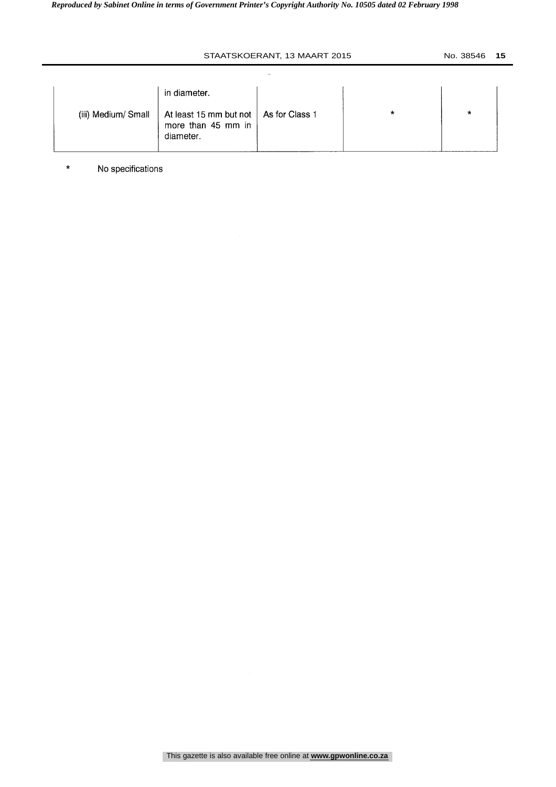|                     | in diameter.                                                               |   |   |  |
|---------------------|----------------------------------------------------------------------------|---|---|--|
| (iii) Medium/ Small | At least 15 mm but not   As for Class 1<br>more than 45 mm in<br>diameter. | * | * |  |

\* No specifications